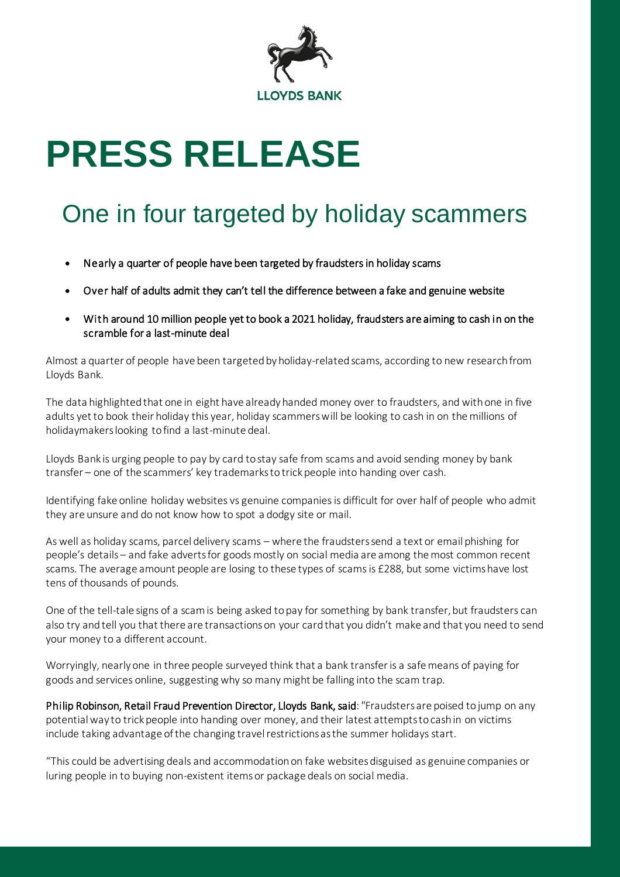

# **PRESS RELEASE**

# One in four targeted by holiday scammers

- Nearly a quarter of people have been targeted by fraudsters in holiday scams
- Over half of adults admit they can't tell the difference between a fake and genuine website
- With around 10 million people yet to book a 2021 holiday, fraudsters are aiming to cash in on the scramble for a last-minute deal

Almost a quarter of people have been targeted by holiday-related scams, according to new research from Lloyds Bank.

The data highlighted that one in eight have already handed money over to fraudsters, and with one in five adults yet to book their holiday this year, holiday scammers will be looking to cash in on the millions of holidaymakers looking to find a last-minute deal.

Lloyds Bank is urging people to pay by card to stay safe from scams and avoid sending money by bank transfer – one of the scammers' key trademarks to trick people into handing over cash.

Identifying fake online holiday websites vs genuine companies is difficult for over half of people who admit they are unsure and do not know how to spot a dodgy site or mail.

As well as holiday scams, parcel delivery scams – where the fraudsters send a text or email phishing for people's details – and fake adverts for goods mostly on social media are among the most common recent scams. The average amount people are losing to these types of scams is £288, but some victims have lost tens of thousands of pounds.

One of the tell-tale signs of a scam is being asked to pay for something by bank transfer, but fraudsters can also try and tell you that there are transactions on your card that you didn't make and that you need to send your money to a different account.

Worryingly, nearly one in three people surveyed think that a bank transfer is a safe means of paying for goods and services online, suggesting why so many might be falling into the scam trap.

Philip Robinson, Retail Fraud Prevention Director, Lloyds Bank, said: "Fraudsters are poised to jump on any potential way to trick people into handing over money, and their latest attempts to cash in on victims include taking advantage of the changing travel restrictions as the summer holidays start.

"This could be advertising deals and accommodation on fake websites disguised as genuine companies or luring people in to buying non-existent items or package deals on social media.